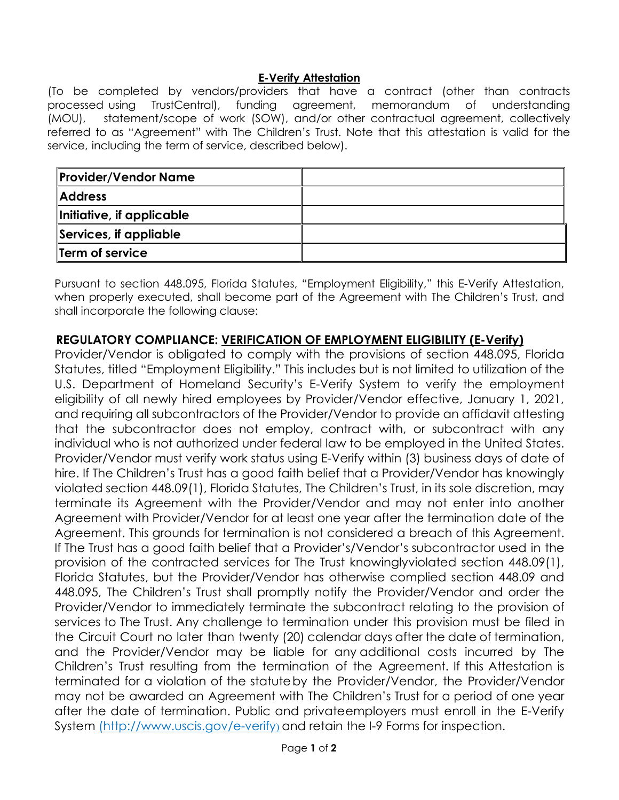## **E-Verify Attestation**

(To be completed by vendors/providers that have a contract (other than contracts processed using TrustCentral), funding agreement, memorandum of understanding (MOU), statement/scope of work (SOW), and/or other contractual agreement, collectively referred to as "Agreement" with The Children's Trust. Note that this attestation is valid for the service, including the term of service, described below).

| <b>Provider/Vendor Name</b> |  |
|-----------------------------|--|
| <b>Address</b>              |  |
| Initiative, if applicable   |  |
| Services, if appliable      |  |
| <b>Term of service</b>      |  |

Pursuant to section 448.095, Florida Statutes, "Employment Eligibility," this E-Verify Attestation, when properly executed, shall become part of the Agreement with The Children's Trust, and shall incorporate the following clause:

## **REGULATORY COMPLIANCE: VERIFICATION OF EMPLOYMENT ELIGIBILITY (E-Verify)**

Provider/Vendor is obligated to comply with the provisions of section 448.095, Florida Statutes, titled "Employment Eligibility." This includes but is not limited to utilization of the U.S. Department of Homeland Security's E-Verify System to verify the employment eligibility of all newly hired employees by Provider/Vendor effective, January 1, 2021, and requiring all subcontractors of the Provider/Vendor to provide an affidavit attesting that the subcontractor does not employ, contract with, or subcontract with any individual who is not authorized under federal law to be employed in the United States. Provider/Vendor must verify work status using E-Verify within (3) business days of date of hire. If The Children's Trust has a good faith belief that a Provider/Vendor has knowingly violated section 448.09(1), Florida Statutes, The Children's Trust, in its sole discretion, may terminate its Agreement with the Provider/Vendor and may not enter into another Agreement with Provider/Vendor for at least one year after the termination date of the Agreement. This grounds for termination is not considered a breach of this Agreement. If The Trust has a good faith belief that a Provider's/Vendor's subcontractor used in the provision of the contracted services for The Trust knowingly violated section 448.09(1), Florida Statutes, but the Provider/Vendor has otherwise complied section 448.09 and 448.095, The Children's Trust shall promptly notify the Provider/Vendor and order the Provider/Vendor to immediately terminate the subcontract relating to the provision of services to The Trust. Any challenge to termination under this provision must be filed in the Circuit Court no later than twenty (20) calendar days after the date of termination, and the Provider/Vendor may be liable for any additional costs incurred by The Children's Trust resulting from the termination of the Agreement. If this Attestation is terminated for a violation of the statute by the Provider/Vendor, the Provider/Vendor may not be awarded an Agreement with The Children's Trust for a period of one year after the date of termination. Public and privateemployers must enroll in the E-Verify System [\(http://www.uscis.gov/e-verify](http://www.uscis.gov/e-verify)) and retain the I-9 Forms for inspection.